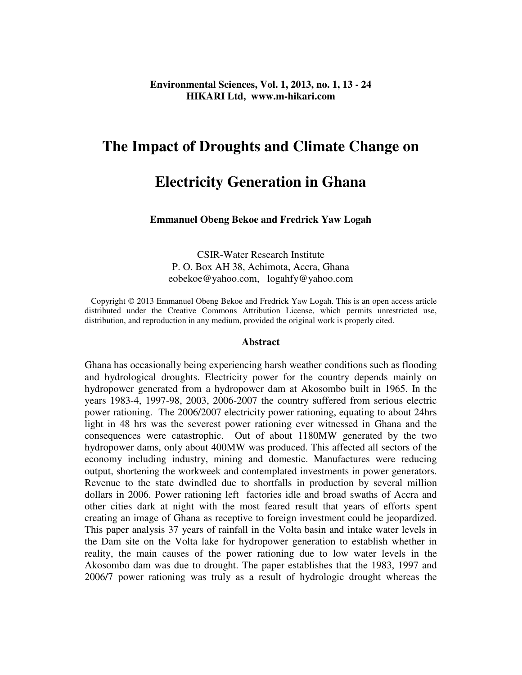#### **Environmental Sciences, Vol. 1, 2013, no. 1, 13 - 24 HIKARI Ltd, www.m-hikari.com**

# **The Impact of Droughts and Climate Change on**

# **Electricity Generation in Ghana**

#### **Emmanuel Obeng Bekoe and Fredrick Yaw Logah**

CSIR-Water Research Institute P. O. Box AH 38, Achimota, Accra, Ghana eobekoe@yahoo.com, logahfy@yahoo.com

 Copyright © 2013 Emmanuel Obeng Bekoe and Fredrick Yaw Logah. This is an open access article distributed under the Creative Commons Attribution License, which permits unrestricted use, distribution, and reproduction in any medium, provided the original work is properly cited.

#### **Abstract**

Ghana has occasionally being experiencing harsh weather conditions such as flooding and hydrological droughts. Electricity power for the country depends mainly on hydropower generated from a hydropower dam at Akosombo built in 1965. In the years 1983-4, 1997-98, 2003, 2006-2007 the country suffered from serious electric power rationing. The 2006/2007 electricity power rationing, equating to about 24hrs light in 48 hrs was the severest power rationing ever witnessed in Ghana and the consequences were catastrophic. Out of about 1180MW generated by the two hydropower dams, only about 400MW was produced. This affected all sectors of the economy including industry, mining and domestic. Manufactures were reducing output, shortening the workweek and contemplated investments in power generators. Revenue to the state dwindled due to shortfalls in production by several million dollars in 2006. Power rationing left factories idle and broad swaths of Accra and other cities dark at night with the most feared result that years of efforts spent creating an image of Ghana as receptive to foreign investment could be jeopardized. This paper analysis 37 years of rainfall in the Volta basin and intake water levels in the Dam site on the Volta lake for hydropower generation to establish whether in reality, the main causes of the power rationing due to low water levels in the Akosombo dam was due to drought. The paper establishes that the 1983, 1997 and 2006/7 power rationing was truly as a result of hydrologic drought whereas the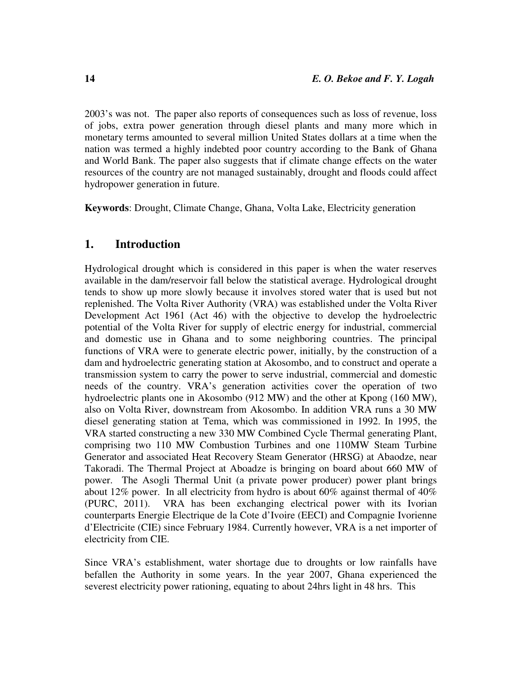2003's was not. The paper also reports of consequences such as loss of revenue, loss of jobs, extra power generation through diesel plants and many more which in monetary terms amounted to several million United States dollars at a time when the nation was termed a highly indebted poor country according to the Bank of Ghana and World Bank. The paper also suggests that if climate change effects on the water resources of the country are not managed sustainably, drought and floods could affect hydropower generation in future.

**Keywords**: Drought, Climate Change, Ghana, Volta Lake, Electricity generation

### **1. Introduction**

Hydrological drought which is considered in this paper is when the water reserves available in the dam/reservoir fall below the statistical average. Hydrological drought tends to show up more slowly because it involves stored water that is used but not replenished. The Volta River Authority (VRA) was established under the Volta River Development Act 1961 (Act 46) with the objective to develop the hydroelectric potential of the Volta River for supply of electric energy for industrial, commercial and domestic use in Ghana and to some neighboring countries. The principal functions of VRA were to generate electric power, initially, by the construction of a dam and hydroelectric generating station at Akosombo, and to construct and operate a transmission system to carry the power to serve industrial, commercial and domestic needs of the country. VRA's generation activities cover the operation of two hydroelectric plants one in Akosombo (912 MW) and the other at Kpong (160 MW), also on Volta River, downstream from Akosombo. In addition VRA runs a 30 MW diesel generating station at Tema, which was commissioned in 1992. In 1995, the VRA started constructing a new 330 MW Combined Cycle Thermal generating Plant, comprising two 110 MW Combustion Turbines and one 110MW Steam Turbine Generator and associated Heat Recovery Steam Generator (HRSG) at Abaodze, near Takoradi. The Thermal Project at Aboadze is bringing on board about 660 MW of power. The Asogli Thermal Unit (a private power producer) power plant brings about 12% power. In all electricity from hydro is about 60% against thermal of 40% (PURC, 2011). VRA has been exchanging electrical power with its Ivorian counterparts Energie Electrique de la Cote d'Ivoire (EECI) and Compagnie Ivorienne d'Electricite (CIE) since February 1984. Currently however, VRA is a net importer of electricity from CIE.

Since VRA's establishment, water shortage due to droughts or low rainfalls have befallen the Authority in some years. In the year 2007, Ghana experienced the severest electricity power rationing, equating to about 24hrs light in 48 hrs. This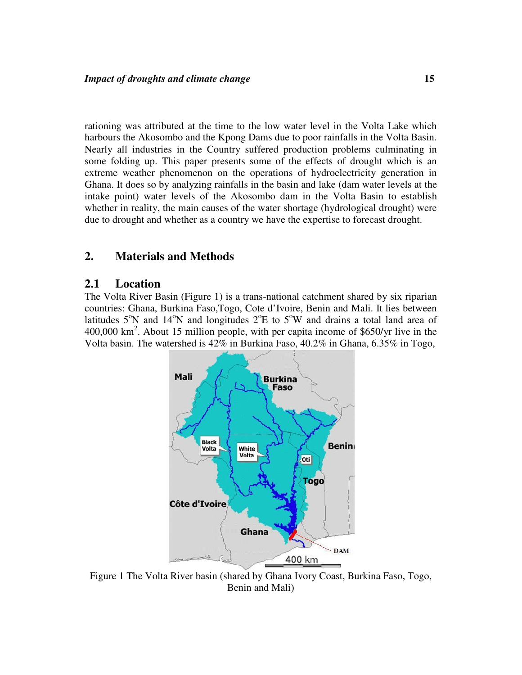rationing was attributed at the time to the low water level in the Volta Lake which harbours the Akosombo and the Kpong Dams due to poor rainfalls in the Volta Basin. Nearly all industries in the Country suffered production problems culminating in some folding up. This paper presents some of the effects of drought which is an extreme weather phenomenon on the operations of hydroelectricity generation in Ghana. It does so by analyzing rainfalls in the basin and lake (dam water levels at the intake point) water levels of the Akosombo dam in the Volta Basin to establish whether in reality, the main causes of the water shortage (hydrological drought) were due to drought and whether as a country we have the expertise to forecast drought.

### **2. Materials and Methods**

### **2.1 Location**

The Volta River Basin (Figure 1) is a trans-national catchment shared by six riparian countries: Ghana, Burkina Faso,Togo, Cote d'Ivoire, Benin and Mali. It lies between latitudes  $5^{\circ}$ N and  $14^{\circ}$ N and longitudes  $2^{\circ}$ E to  $5^{\circ}$ W and drains a total land area of 400,000 km<sup>2</sup> . About 15 million people, with per capita income of \$650/yr live in the Volta basin. The watershed is 42% in Burkina Faso, 40.2% in Ghana, 6.35% in Togo,



Figure 1 The Volta River basin (shared by Ghana Ivory Coast, Burkina Faso, Togo, Benin and Mali)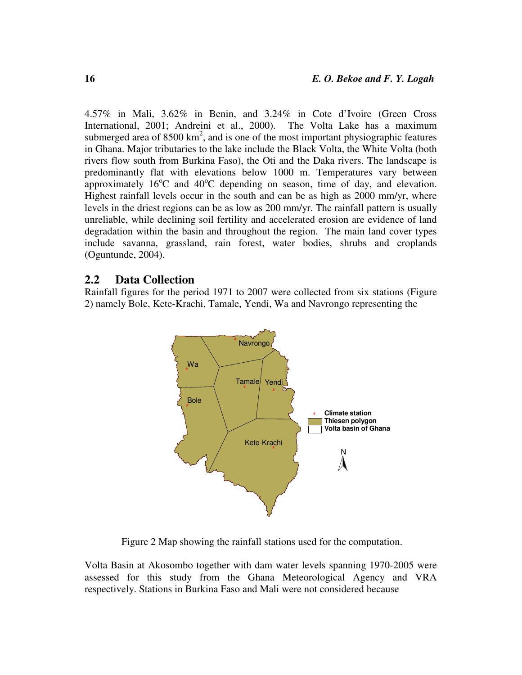4.57% in Mali, 3.62% in Benin, and 3.24% in Cote d'Ivoire (Green Cross International, 2001; Andreini et al., 2000). The Volta Lake has a maximum submerged area of  $8500 \text{ km}^2$ , and is one of the most important physiographic features in Ghana. Major tributaries to the lake include the Black Volta, the White Volta (both rivers flow south from Burkina Faso), the Oti and the Daka rivers. The landscape is predominantly flat with elevations below 1000 m. Temperatures vary between approximately  $16^{\circ}$ C and  $40^{\circ}$ C depending on season, time of day, and elevation. Highest rainfall levels occur in the south and can be as high as 2000 mm/yr, where levels in the driest regions can be as low as 200 mm/yr. The rainfall pattern is usually unreliable, while declining soil fertility and accelerated erosion are evidence of land degradation within the basin and throughout the region. The main land cover types include savanna, grassland, rain forest, water bodies, shrubs and croplands (Oguntunde, 2004).

#### **2.2 Data Collection**

Rainfall figures for the period 1971 to 2007 were collected from six stations (Figure 2) namely Bole, Kete-Krachi, Tamale, Yendi, Wa and Navrongo representing the



Figure 2 Map showing the rainfall stations used for the computation.

Volta Basin at Akosombo together with dam water levels spanning 1970-2005 were assessed for this study from the Ghana Meteorological Agency and VRA respectively. Stations in Burkina Faso and Mali were not considered because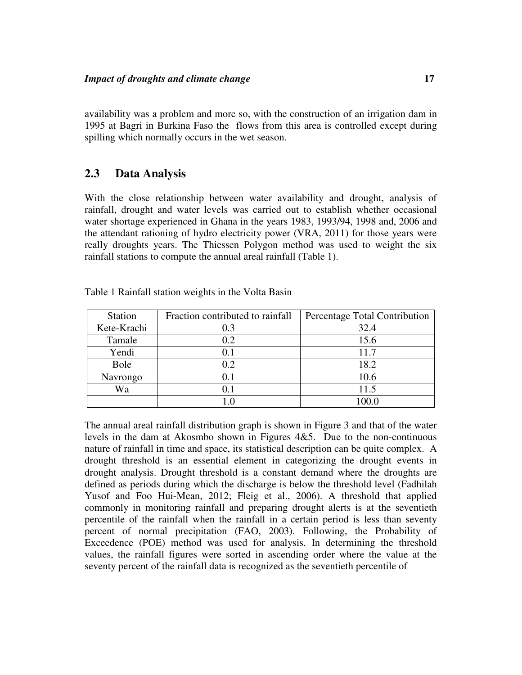availability was a problem and more so, with the construction of an irrigation dam in 1995 at Bagri in Burkina Faso the flows from this area is controlled except during spilling which normally occurs in the wet season.

### **2.3 Data Analysis**

With the close relationship between water availability and drought, analysis of rainfall, drought and water levels was carried out to establish whether occasional water shortage experienced in Ghana in the years 1983, 1993/94, 1998 and, 2006 and the attendant rationing of hydro electricity power (VRA, 2011) for those years were really droughts years. The Thiessen Polygon method was used to weight the six rainfall stations to compute the annual areal rainfall (Table 1).

| <b>Station</b> | Fraction contributed to rainfall | Percentage Total Contribution |
|----------------|----------------------------------|-------------------------------|
| Kete-Krachi    | 0.3                              | 32.4                          |
| Tamale         | 0.2                              | 15.6                          |
| Yendi          | $0.1\,$                          | 11.7                          |
| Bole           | 0.2                              | 18.2                          |
| Navrongo       | 0.1                              | 10.6                          |
| Wa             | 0.1                              | 11.5                          |
|                | $\Box$ ()                        | 100 O                         |

Table 1 Rainfall station weights in the Volta Basin

The annual areal rainfall distribution graph is shown in Figure 3 and that of the water levels in the dam at Akosmbo shown in Figures 4&5. Due to the non-continuous nature of rainfall in time and space, its statistical description can be quite complex. A drought threshold is an essential element in categorizing the drought events in drought analysis. Drought threshold is a constant demand where the droughts are defined as periods during which the discharge is below the threshold level (Fadhilah Yusof and Foo Hui-Mean, 2012; Fleig et al., 2006). A threshold that applied commonly in monitoring rainfall and preparing drought alerts is at the seventieth percentile of the rainfall when the rainfall in a certain period is less than seventy percent of normal precipitation (FAO, 2003). Following, the Probability of Exceedence (POE) method was used for analysis. In determining the threshold values, the rainfall figures were sorted in ascending order where the value at the seventy percent of the rainfall data is recognized as the seventieth percentile of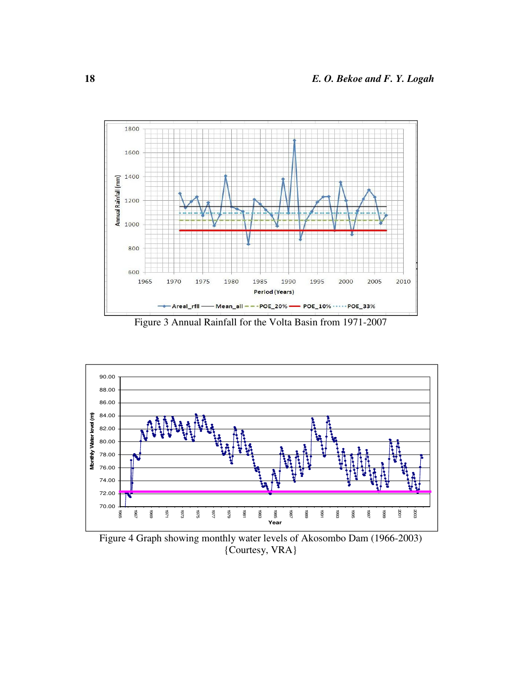

Figure 3 Annual Rainfall for the Volta Basin from 1971-2007



Figure 4 Graph showing monthly water levels of Akosombo Dam (1966-2003) {Courtesy, VRA}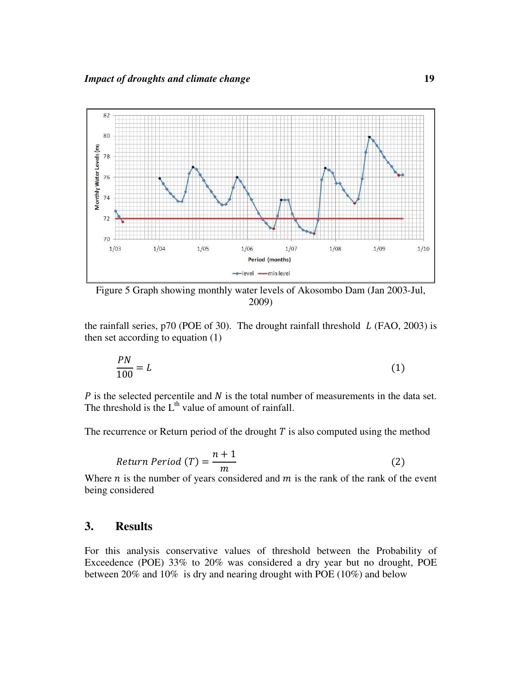

Figure 5 Graph showing monthly water levels of Akosombo Dam (Jan 2003-Jul, 2009)

the rainfall series,  $p70$  (POE of 30). The drought rainfall threshold  $L$  (FAO, 2003) is then set according to equation (1)

$$
\frac{PN}{100} = L\tag{1}
$$

 $P$  is the selected percentile and  $N$  is the total number of measurements in the data set. The threshold is the  $L<sup>th</sup>$  value of amount of rainfall.

The recurrence or Return period of the drought  $T$  is also computed using the method

$$
Return Period (T) = \frac{n+1}{m}
$$
 (2)

Where  $n$  is the number of years considered and  $m$  is the rank of the rank of the event being considered

## **3. Results**

For this analysis conservative values of threshold between the Probability of Exceedence (POE) 33% to 20% was considered a dry year but no drought, POE between 20% and 10% is dry and nearing drought with POE (10%) and below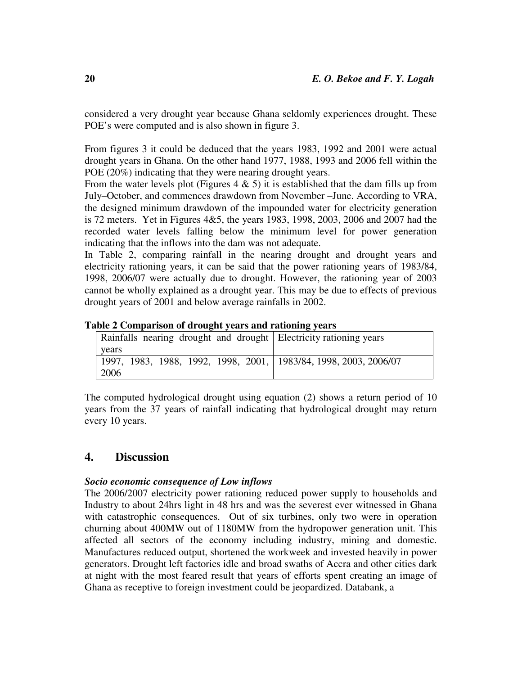considered a very drought year because Ghana seldomly experiences drought. These POE's were computed and is also shown in figure 3.

From figures 3 it could be deduced that the years 1983, 1992 and 2001 were actual drought years in Ghana. On the other hand 1977, 1988, 1993 and 2006 fell within the POE (20%) indicating that they were nearing drought years.

From the water levels plot (Figures  $4 \& 5$ ) it is established that the dam fills up from July–October, and commences drawdown from November –June. According to VRA, the designed minimum drawdown of the impounded water for electricity generation is 72 meters. Yet in Figures 4&5, the years 1983, 1998, 2003, 2006 and 2007 had the recorded water levels falling below the minimum level for power generation indicating that the inflows into the dam was not adequate.

In Table 2, comparing rainfall in the nearing drought and drought years and electricity rationing years, it can be said that the power rationing years of 1983/84, 1998, 2006/07 were actually due to drought. However, the rationing year of 2003 cannot be wholly explained as a drought year. This may be due to effects of previous drought years of 2001 and below average rainfalls in 2002.

|  |  |  | Table 2 Comparison of drought years and rationing years |  |  |  |
|--|--|--|---------------------------------------------------------|--|--|--|
|  |  |  |                                                         |  |  |  |

| Rainfalls nearing drought and drought Electricity rationing years  |  |
|--------------------------------------------------------------------|--|
| years                                                              |  |
| 1997, 1983, 1988, 1992, 1998, 2001,   1983/84, 1998, 2003, 2006/07 |  |
| 12006                                                              |  |

The computed hydrological drought using equation (2) shows a return period of 10 years from the 37 years of rainfall indicating that hydrological drought may return every 10 years.

### **4. Discussion**

#### *Socio economic consequence of Low inflows*

The 2006/2007 electricity power rationing reduced power supply to households and Industry to about 24hrs light in 48 hrs and was the severest ever witnessed in Ghana with catastrophic consequences. Out of six turbines, only two were in operation churning about 400MW out of 1180MW from the hydropower generation unit. This affected all sectors of the economy including industry, mining and domestic. Manufactures reduced output, shortened the workweek and invested heavily in power generators. Drought left factories idle and broad swaths of Accra and other cities dark at night with the most feared result that years of efforts spent creating an image of Ghana as receptive to foreign investment could be jeopardized. Databank, a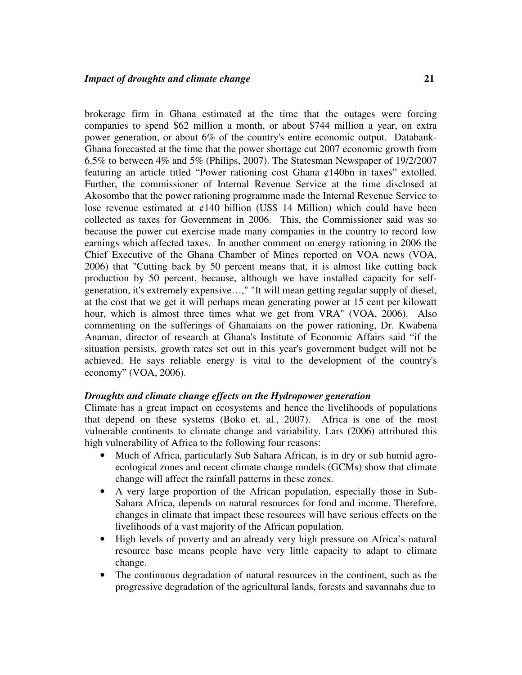brokerage firm in Ghana estimated at the time that the outages were forcing companies to spend \$62 million a month, or about \$744 million a year, on extra power generation, or about 6% of the country's entire economic output. Databank-Ghana forecasted at the time that the power shortage cut 2007 economic growth from 6.5% to between 4% and 5% (Philips, 2007). The Statesman Newspaper of 19/2/2007 featuring an article titled "Power rationing cost Ghana ¢140bn in taxes" extolled. Further, the commissioner of Internal Revenue Service at the time disclosed at Akosombo that the power rationing programme made the Internal Revenue Service to lose revenue estimated at  $\varphi$ 140 billion (US\$ 14 Million) which could have been collected as taxes for Government in 2006. This, the Commissioner said was so because the power cut exercise made many companies in the country to record low earnings which affected taxes. In another comment on energy rationing in 2006 the Chief Executive of the Ghana Chamber of Mines reported on VOA news (VOA, 2006) that "Cutting back by 50 percent means that, it is almost like cutting back production by 50 percent, because, although we have installed capacity for selfgeneration, it's extremely expensive…," "It will mean getting regular supply of diesel, at the cost that we get it will perhaps mean generating power at 15 cent per kilowatt hour, which is almost three times what we get from VRA" (VOA, 2006). Also commenting on the sufferings of Ghanaians on the power rationing, Dr. Kwabena Anaman, director of research at Ghana's Institute of Economic Affairs said "if the situation persists, growth rates set out in this year's government budget will not be achieved. He says reliable energy is vital to the development of the country's economy" (VOA, 2006).

#### *Droughts and climate change effects on the Hydropower generation*

Climate has a great impact on ecosystems and hence the livelihoods of populations that depend on these systems (Boko et. al., 2007). Africa is one of the most vulnerable continents to climate change and variability. Lars (2006) attributed this high vulnerability of Africa to the following four reasons:

- Much of Africa, particularly Sub Sahara African, is in dry or sub humid agroecological zones and recent climate change models (GCMs) show that climate change will affect the rainfall patterns in these zones.
- A very large proportion of the African population, especially those in Sub-Sahara Africa, depends on natural resources for food and income. Therefore, changes in climate that impact these resources will have serious effects on the livelihoods of a vast majority of the African population.
- High levels of poverty and an already very high pressure on Africa's natural resource base means people have very little capacity to adapt to climate change.
- The continuous degradation of natural resources in the continent, such as the progressive degradation of the agricultural lands, forests and savannahs due to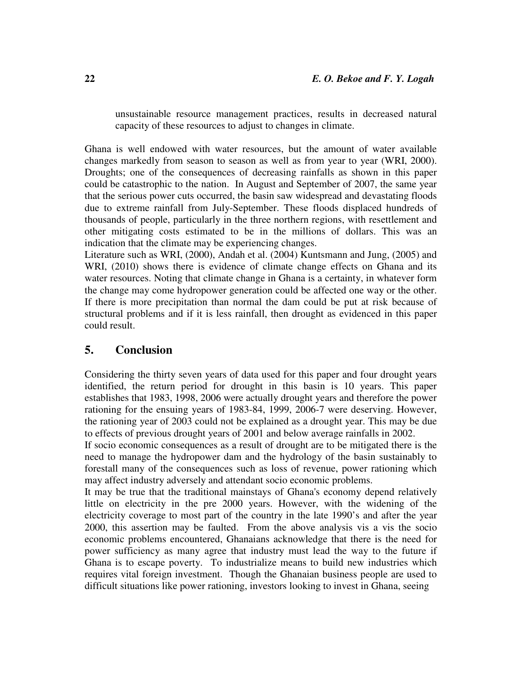unsustainable resource management practices, results in decreased natural capacity of these resources to adjust to changes in climate.

Ghana is well endowed with water resources, but the amount of water available changes markedly from season to season as well as from year to year (WRI, 2000). Droughts; one of the consequences of decreasing rainfalls as shown in this paper could be catastrophic to the nation. In August and September of 2007, the same year that the serious power cuts occurred, the basin saw widespread and devastating floods due to extreme rainfall from July-September. These floods displaced hundreds of thousands of people, particularly in the three northern regions, with resettlement and other mitigating costs estimated to be in the millions of dollars. This was an indication that the climate may be experiencing changes.

Literature such as WRI, (2000), Andah et al. (2004) Kuntsmann and Jung, (2005) and WRI, (2010) shows there is evidence of climate change effects on Ghana and its water resources. Noting that climate change in Ghana is a certainty, in whatever form the change may come hydropower generation could be affected one way or the other. If there is more precipitation than normal the dam could be put at risk because of structural problems and if it is less rainfall, then drought as evidenced in this paper could result.

## **5. Conclusion**

Considering the thirty seven years of data used for this paper and four drought years identified, the return period for drought in this basin is 10 years. This paper establishes that 1983, 1998, 2006 were actually drought years and therefore the power rationing for the ensuing years of 1983-84, 1999, 2006-7 were deserving. However, the rationing year of 2003 could not be explained as a drought year. This may be due to effects of previous drought years of 2001 and below average rainfalls in 2002.

If socio economic consequences as a result of drought are to be mitigated there is the need to manage the hydropower dam and the hydrology of the basin sustainably to forestall many of the consequences such as loss of revenue, power rationing which may affect industry adversely and attendant socio economic problems.

It may be true that the traditional mainstays of Ghana's economy depend relatively little on electricity in the pre 2000 years. However, with the widening of the electricity coverage to most part of the country in the late 1990's and after the year 2000, this assertion may be faulted. From the above analysis vis a vis the socio economic problems encountered, Ghanaians acknowledge that there is the need for power sufficiency as many agree that industry must lead the way to the future if Ghana is to escape poverty. To industrialize means to build new industries which requires vital foreign investment. Though the Ghanaian business people are used to difficult situations like power rationing, investors looking to invest in Ghana, seeing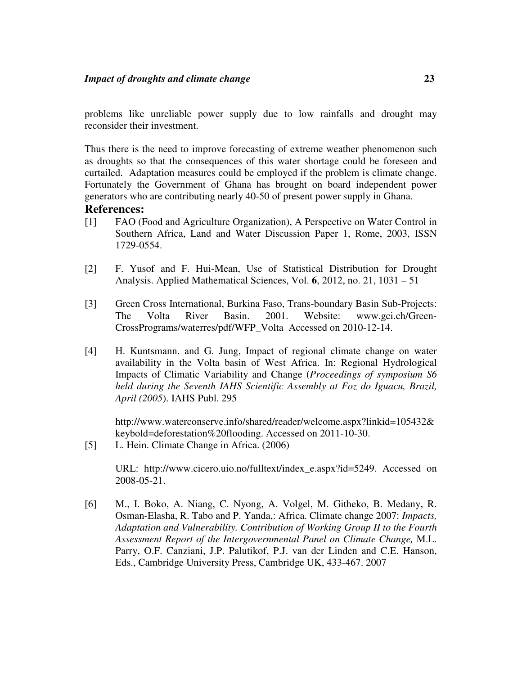problems like unreliable power supply due to low rainfalls and drought may reconsider their investment.

Thus there is the need to improve forecasting of extreme weather phenomenon such as droughts so that the consequences of this water shortage could be foreseen and curtailed. Adaptation measures could be employed if the problem is climate change. Fortunately the Government of Ghana has brought on board independent power generators who are contributing nearly 40-50 of present power supply in Ghana.

### **References:**

- [1] FAO (Food and Agriculture Organization), A Perspective on Water Control in Southern Africa, Land and Water Discussion Paper 1, Rome, 2003, ISSN 1729-0554.
- [2] F. Yusof and F. Hui-Mean, Use of Statistical Distribution for Drought Analysis. Applied Mathematical Sciences, Vol. **6**, 2012, no. 21, 1031 – 51
- [3] Green Cross International, Burkina Faso, Trans-boundary Basin Sub-Projects: The Volta River Basin. 2001. Website: www.gci.ch/Green-CrossPrograms/waterres/pdf/WFP\_Volta Accessed on 2010-12-14.
- [4] H. Kuntsmann. and G. Jung, Impact of regional climate change on water availability in the Volta basin of West Africa. In: Regional Hydrological Impacts of Climatic Variability and Change (*Proceedings of symposium S6 held during the Seventh IAHS Scientific Assembly at Foz do Iguacu, Brazil, April (2005*). IAHS Publ. 295

http://www.waterconserve.info/shared/reader/welcome.aspx?linkid=105432& keybold=deforestation%20flooding. Accessed on 2011-10-30.

[5] L. Hein. Climate Change in Africa. (2006)

URL: http://www.cicero.uio.no/fulltext/index\_e.aspx?id=5249. Accessed on 2008-05-21.

[6] M., I. Boko, A. Niang, C. Nyong, A. Volgel, M. Githeko, B. Medany, R. Osman-Elasha, R. Tabo and P. Yanda,: Africa. Climate change 2007: *Impacts, Adaptation and Vulnerability. Contribution of Working Group II to the Fourth Assessment Report of the Intergovernmental Panel on Climate Change,* M.L. Parry, O.F. Canziani, J.P. Palutikof, P.J. van der Linden and C.E. Hanson, Eds., Cambridge University Press, Cambridge UK, 433-467. 2007